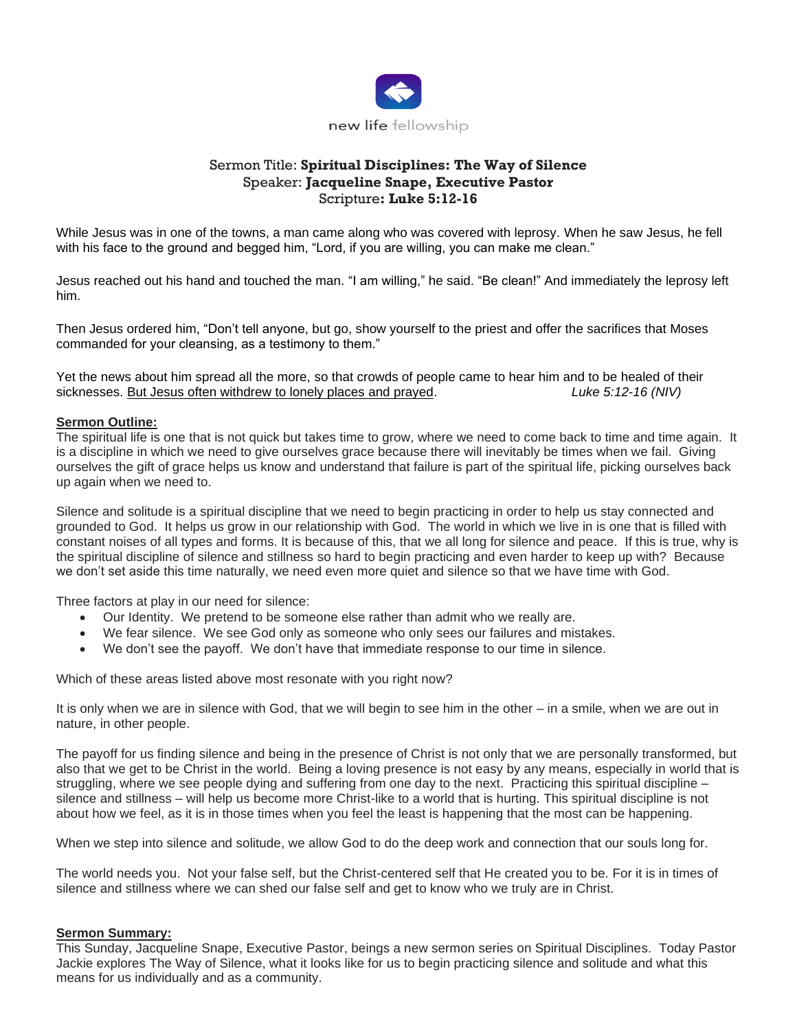

## Sermon Title: **Spiritual Disciplines: The Way of Silence** Speaker: **Jacqueline Snape, Executive Pastor** Scripture**: Luke 5:12-16**

While Jesus was in one of the towns, a man came along who was covered with leprosy. When he saw Jesus, he fell with his face to the ground and begged him, "Lord, if you are willing, you can make me clean."

Jesus reached out his hand and touched the man. "I am willing," he said. "Be clean!" And immediately the leprosy left him.

Then Jesus ordered him, "Don't tell anyone, but go, show yourself to the priest and offer the sacrifices that Moses commanded for your cleansing, as a testimony to them."

Yet the news about him spread all the more, so that crowds of people came to hear him and to be healed of their sicknesses. But Jesus often withdrew to lonely places and prayed. **Luke 5:12-16 (NIV)** 

## **Sermon Outline:**

The spiritual life is one that is not quick but takes time to grow, where we need to come back to time and time again. It is a discipline in which we need to give ourselves grace because there will inevitably be times when we fail. Giving ourselves the gift of grace helps us know and understand that failure is part of the spiritual life, picking ourselves back up again when we need to.

Silence and solitude is a spiritual discipline that we need to begin practicing in order to help us stay connected and grounded to God. It helps us grow in our relationship with God. The world in which we live in is one that is filled with constant noises of all types and forms. It is because of this, that we all long for silence and peace. If this is true, why is the spiritual discipline of silence and stillness so hard to begin practicing and even harder to keep up with? Because we don't set aside this time naturally, we need even more quiet and silence so that we have time with God.

Three factors at play in our need for silence:

- Our Identity. We pretend to be someone else rather than admit who we really are.
- We fear silence. We see God only as someone who only sees our failures and mistakes.
- We don't see the payoff. We don't have that immediate response to our time in silence.

Which of these areas listed above most resonate with you right now?

It is only when we are in silence with God, that we will begin to see him in the other – in a smile, when we are out in nature, in other people.

The payoff for us finding silence and being in the presence of Christ is not only that we are personally transformed, but also that we get to be Christ in the world. Being a loving presence is not easy by any means, especially in world that is struggling, where we see people dying and suffering from one day to the next. Practicing this spiritual discipline – silence and stillness – will help us become more Christ-like to a world that is hurting. This spiritual discipline is not about how we feel, as it is in those times when you feel the least is happening that the most can be happening.

When we step into silence and solitude, we allow God to do the deep work and connection that our souls long for.

The world needs you. Not your false self, but the Christ-centered self that He created you to be. For it is in times of silence and stillness where we can shed our false self and get to know who we truly are in Christ.

## **Sermon Summary:**

This Sunday, Jacqueline Snape, Executive Pastor, beings a new sermon series on Spiritual Disciplines. Today Pastor Jackie explores The Way of Silence, what it looks like for us to begin practicing silence and solitude and what this means for us individually and as a community.